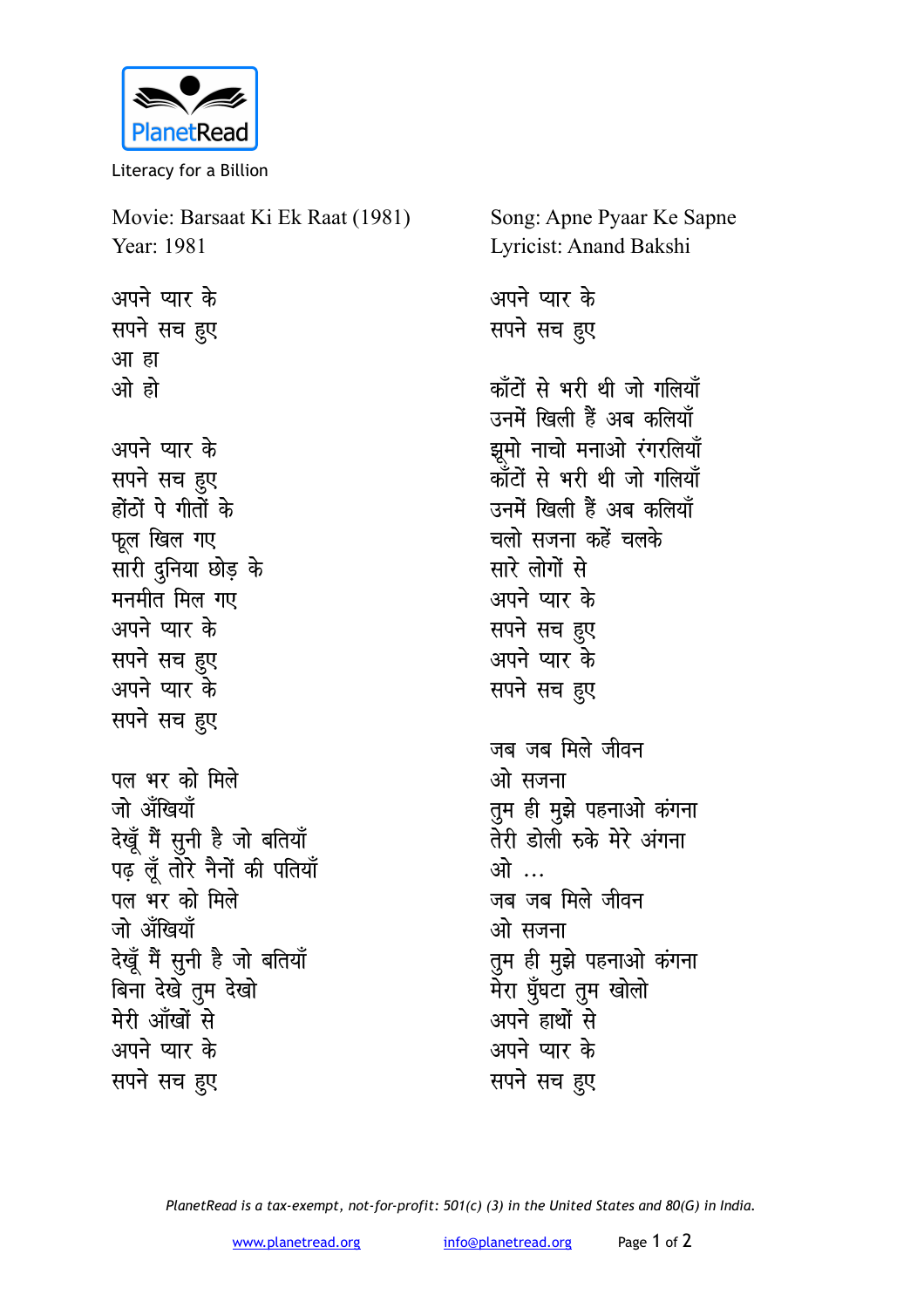

Literacy for a Billion

Movie: Barsaat Ki Ek Raat (1981) Year: 1981 अपने प्यार के सपने सच हुए आ हा ओ हो अपने प्यार के सपने सच हुए होंठों पे गीतों के फूल खिल गए सारी दुनिया छोड़ के मनमीत मिल गए अपने प्यार के सपने सच हुए अपने प्यार के सपने सच हुए पल भर को मिले जो ॲंखियाँ देखूँ मैं सुनी है जो बतियाँ पढ़ लूँ तोरे नैनों की पतियाँ पल भर को मिले जो ॲंखियाँ देखूँ मैं सुनी है जो बतियाँ बिना देखे तुम देखो मेरी आँखों से अपने प्यार के सपने सच हुए

Song: Apne Pyaar Ke Sapne Lyricist: Anand Bakshi अपने प्यार के सपने सच हुए कॉंटों से भरी थी जो गलियाँ उनमें खिली हैं अब कलियाँ झूमो नाचो मनाओ रंगरलियाँ कॉंटों से भरी थी जो गलियाँ उनमें खिली हैं अब कलियाँ चलो सजना कहें चलके सारे लोगों से अपने प्यार के सपने सच हुए अपने प्यार के सपने सच हुए जब जब मिले जीवन ओ सजना तुम ही मुझे पहनाओ कंगना तेरी डोली रुके मेरे अंगना ओ … जब जब मिले जीवन ओ सजना तुम ही मुझे पहनाओ कंगना मेरा घुँघटा तुम खोलो अपने हाथों से अपने प्यार के सपने सच हुए

PlanetRead is a tax-exempt, not-for-profit: 501(c) (3) in the United States and 80(G) in India.